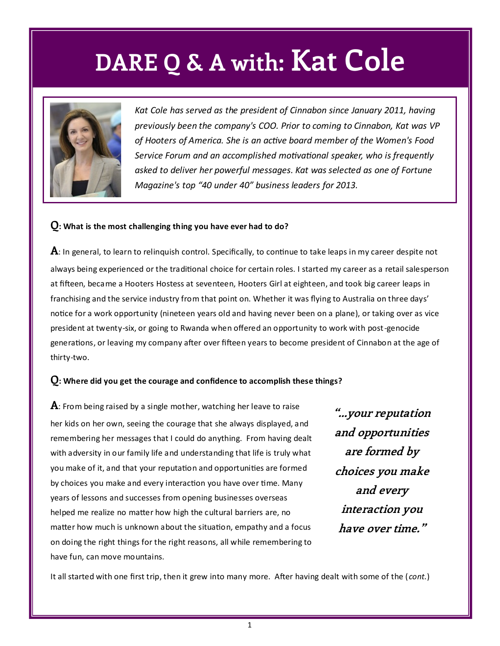## **DARE Q & A with: Kat Cole**



*Kat Cole has served as the president of Cinnabon since January 2011, having previously been the company's COO. Prior to coming to Cinnabon, Kat was VP of Hooters of America. She is an active board member of the Women's Food Service Forum and an accomplished motivational speaker, who is frequently asked to deliver her powerful messages. Kat was selected as one of Fortune Magazine's top "40 under 40" business leaders for 2013.*

#### **Q: What is the most challenging thing you have ever had to do?**

**A**: In general, to learn to relinquish control. Specifically, to continue to take leaps in my career despite not always being experienced or the traditional choice for certain roles. I started my career as a retail salesperson at fifteen, became a Hooters Hostess at seventeen, Hooters Girl at eighteen, and took big career leaps in franchising and the service industry from that point on. Whether it was flying to Australia on three days' notice for a work opportunity (nineteen years old and having never been on a plane), or taking over as vice president at twenty-six, or going to Rwanda when offered an opportunity to work with post-genocide generations, or leaving my company after over fifteen years to become president of Cinnabon at the age of thirty-two.

#### **Q: Where did you get the courage and confidence to accomplish these things?**

**A**: From being raised by a single mother, watching her leave to raise her kids on her own, seeing the courage that she always displayed, and remembering her messages that I could do anything. From having dealt with adversity in our family life and understanding that life is truly what you make of it, and that your reputation and opportunities are formed by choices you make and every interaction you have over time. Many years of lessons and successes from opening businesses overseas helped me realize no matter how high the cultural barriers are, no matter how much is unknown about the situation, empathy and a focus on doing the right things for the right reasons, all while remembering to have fun, can move mountains.

**"...your reputation and opportunities are formed by choices you make and every interaction you have over time."**

It all started with one first trip, then it grew into many more. After having dealt with some of the ( *cont.*)